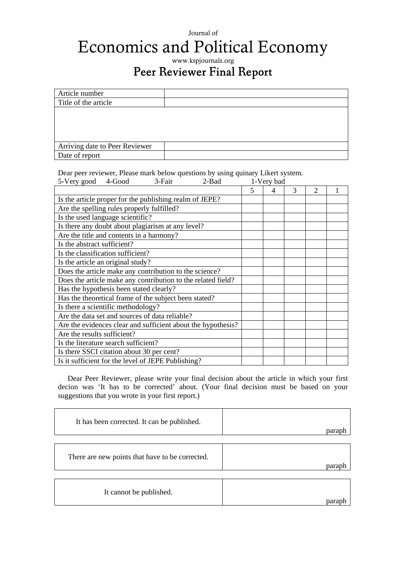## Journal of Economics and Political Economy

## www.kspjournals.org Peer Reviewer Final Report

| Article number                 |  |
|--------------------------------|--|
| Title of the article           |  |
|                                |  |
|                                |  |
|                                |  |
|                                |  |
| Arriving date to Peer Reviewer |  |
| Date of report                 |  |

Dear peer reviewer, Please mark below questions by using quinary Likert system.

| 5-Very good                                                  | 4-Good | 3-Fair | 2-Bad | 1-Very bad |   |   |                |  |
|--------------------------------------------------------------|--------|--------|-------|------------|---|---|----------------|--|
|                                                              |        |        |       | 5          | 4 | 3 | $\overline{2}$ |  |
| Is the article proper for the publishing realm of JEPE?      |        |        |       |            |   |   |                |  |
| Are the spelling rules properly fulfilled?                   |        |        |       |            |   |   |                |  |
| Is the used language scientific?                             |        |        |       |            |   |   |                |  |
| Is there any doubt about plagiarism at any level?            |        |        |       |            |   |   |                |  |
| Are the title and contents in a harmony?                     |        |        |       |            |   |   |                |  |
| Is the abstract sufficient?                                  |        |        |       |            |   |   |                |  |
| Is the classification sufficient?                            |        |        |       |            |   |   |                |  |
| Is the article an original study?                            |        |        |       |            |   |   |                |  |
| Does the article make any contribution to the science?       |        |        |       |            |   |   |                |  |
| Does the article make any contribution to the related field? |        |        |       |            |   |   |                |  |
| Has the hypothesis been stated clearly?                      |        |        |       |            |   |   |                |  |
| Has the theoretical frame of the subject been stated?        |        |        |       |            |   |   |                |  |
| Is there a scientific methodology?                           |        |        |       |            |   |   |                |  |
| Are the data set and sources of data reliable?               |        |        |       |            |   |   |                |  |
| Are the evidences clear and sufficient about the hypothesis? |        |        |       |            |   |   |                |  |
| Are the results sufficient?                                  |        |        |       |            |   |   |                |  |
| Is the literature search sufficient?                         |        |        |       |            |   |   |                |  |
| Is there SSCI citation about 30 per cent?                    |        |        |       |            |   |   |                |  |
| Is it sufficient for the level of JEPE Publishing?           |        |        |       |            |   |   |                |  |

Dear Peer Reviewer, please write your final decision about the article in which your first decion was 'It has to be corrected' about. (Your final decision must be based on your suggestions that you wrote in your first report.)

| It has been corrected. It can be published.     | parap |
|-------------------------------------------------|-------|
| There are new points that have to be corrected. | parap |
| It cannot be published.                         | para  |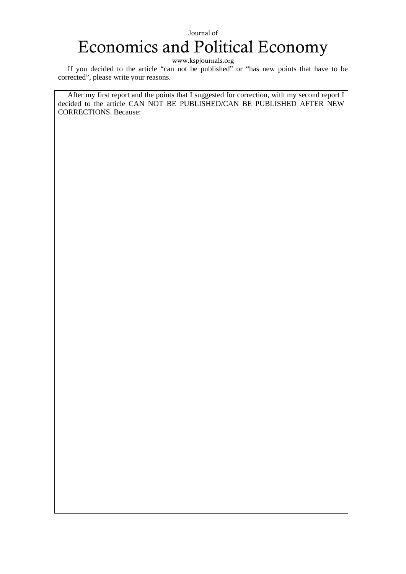## Journal of Economics and Political Economy

www.kspjournals.org

If you decided to the article "can not be published" or "has new points that have to be corrected", please write your reasons.

After my first report and the points that I suggested for correction, with my second report I decided to the article CAN NOT BE PUBLISHED/CAN BE PUBLISHED AFTER NEW CORRECTIONS. Because: